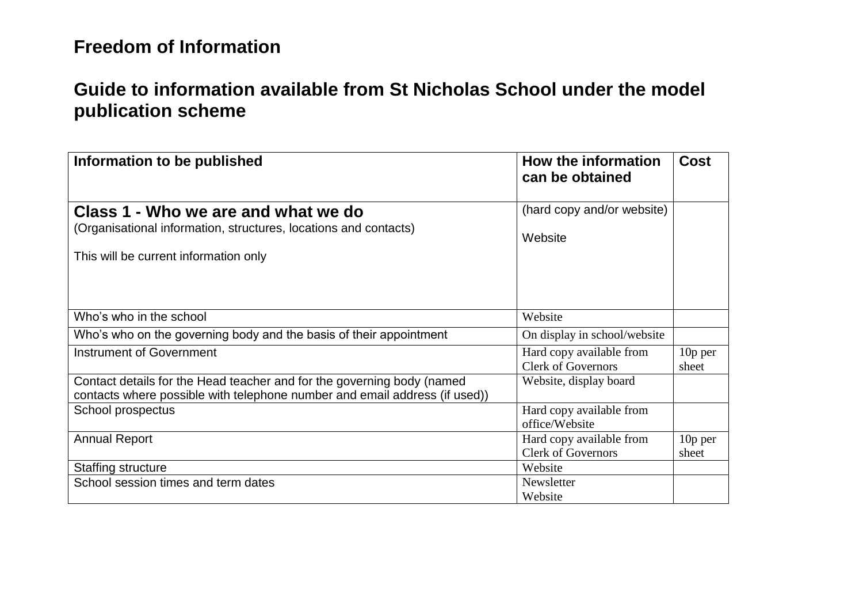### **Guide to information available from St Nicholas School under the model publication scheme**

| Information to be published                                                                                                                          | How the information<br>can be obtained                | <b>Cost</b>        |
|------------------------------------------------------------------------------------------------------------------------------------------------------|-------------------------------------------------------|--------------------|
| Class 1 - Who we are and what we do<br>(Organisational information, structures, locations and contacts)<br>This will be current information only     | (hard copy and/or website)<br>Website                 |                    |
| Who's who in the school                                                                                                                              | Website                                               |                    |
| Who's who on the governing body and the basis of their appointment                                                                                   | On display in school/website                          |                    |
| Instrument of Government                                                                                                                             | Hard copy available from<br><b>Clerk of Governors</b> | $10p$ per<br>sheet |
| Contact details for the Head teacher and for the governing body (named<br>contacts where possible with telephone number and email address (if used)) | Website, display board                                |                    |
| School prospectus                                                                                                                                    | Hard copy available from<br>office/Website            |                    |
| <b>Annual Report</b>                                                                                                                                 | Hard copy available from<br><b>Clerk of Governors</b> | $10p$ per<br>sheet |
| <b>Staffing structure</b>                                                                                                                            | Website                                               |                    |
| School session times and term dates                                                                                                                  | Newsletter<br>Website                                 |                    |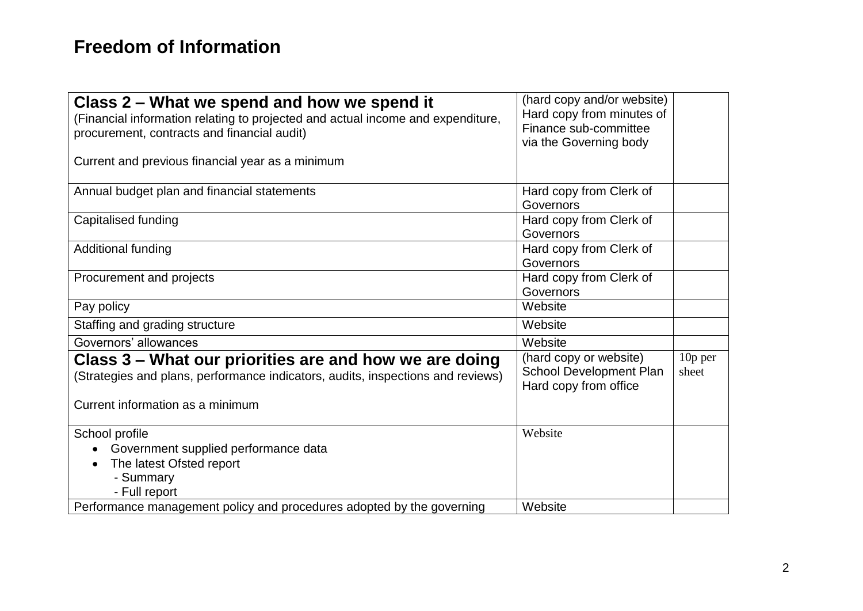| Class 2 – What we spend and how we spend it<br>(Financial information relating to projected and actual income and expenditure,                                                | (hard copy and/or website)<br>Hard copy from minutes of<br>Finance sub-committee  |                  |
|-------------------------------------------------------------------------------------------------------------------------------------------------------------------------------|-----------------------------------------------------------------------------------|------------------|
| procurement, contracts and financial audit)                                                                                                                                   | via the Governing body                                                            |                  |
| Current and previous financial year as a minimum                                                                                                                              |                                                                                   |                  |
| Annual budget plan and financial statements                                                                                                                                   | Hard copy from Clerk of<br>Governors                                              |                  |
| Capitalised funding                                                                                                                                                           | Hard copy from Clerk of<br>Governors                                              |                  |
| Additional funding                                                                                                                                                            | Hard copy from Clerk of<br>Governors                                              |                  |
| Procurement and projects                                                                                                                                                      | Hard copy from Clerk of<br>Governors                                              |                  |
| Pay policy                                                                                                                                                                    | Website                                                                           |                  |
| Staffing and grading structure                                                                                                                                                | Website                                                                           |                  |
| Governors' allowances                                                                                                                                                         | Website                                                                           |                  |
| Class 3 – What our priorities are and how we are doing<br>(Strategies and plans, performance indicators, audits, inspections and reviews)<br>Current information as a minimum | (hard copy or website)<br><b>School Development Plan</b><br>Hard copy from office | 10p per<br>sheet |
| School profile<br>Government supplied performance data<br>The latest Ofsted report<br>- Summary<br>- Full report                                                              | Website                                                                           |                  |
| Performance management policy and procedures adopted by the governing                                                                                                         | Website                                                                           |                  |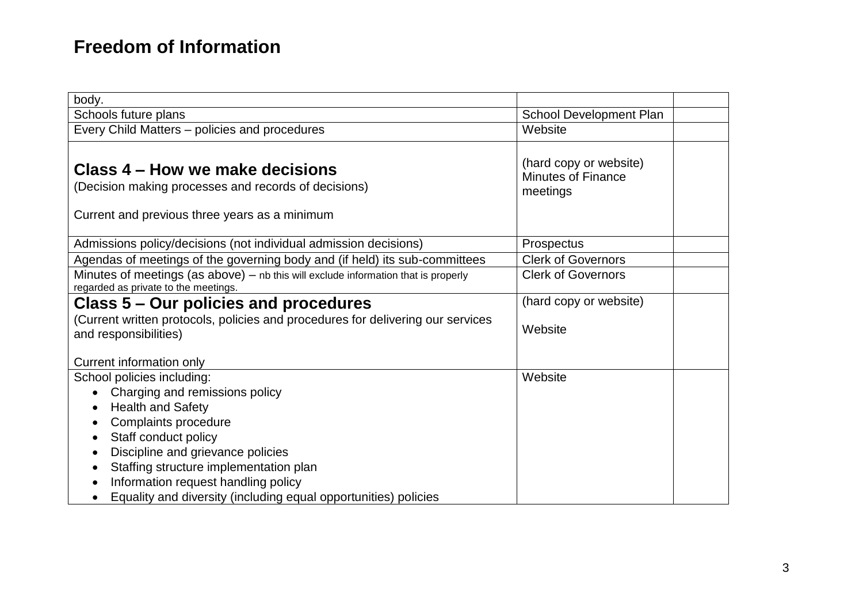| body.                                                                                                                                                                                                                                                                                                      |                                                                 |  |
|------------------------------------------------------------------------------------------------------------------------------------------------------------------------------------------------------------------------------------------------------------------------------------------------------------|-----------------------------------------------------------------|--|
| Schools future plans                                                                                                                                                                                                                                                                                       | School Development Plan                                         |  |
| Every Child Matters - policies and procedures                                                                                                                                                                                                                                                              | Website                                                         |  |
| Class 4 – How we make decisions<br>(Decision making processes and records of decisions)<br>Current and previous three years as a minimum                                                                                                                                                                   | (hard copy or website)<br><b>Minutes of Finance</b><br>meetings |  |
| Admissions policy/decisions (not individual admission decisions)                                                                                                                                                                                                                                           | Prospectus                                                      |  |
| Agendas of meetings of the governing body and (if held) its sub-committees                                                                                                                                                                                                                                 | <b>Clerk of Governors</b>                                       |  |
| Minutes of meetings (as above) - nb this will exclude information that is properly<br>regarded as private to the meetings.                                                                                                                                                                                 | <b>Clerk of Governors</b>                                       |  |
| Class 5 – Our policies and procedures                                                                                                                                                                                                                                                                      | (hard copy or website)                                          |  |
| (Current written protocols, policies and procedures for delivering our services<br>and responsibilities)                                                                                                                                                                                                   | Website                                                         |  |
| Current information only                                                                                                                                                                                                                                                                                   |                                                                 |  |
| School policies including:<br>Charging and remissions policy<br>$\bullet$<br><b>Health and Safety</b><br>$\bullet$<br>Complaints procedure<br>Staff conduct policy<br>$\bullet$<br>Discipline and grievance policies<br>٠<br>Staffing structure implementation plan<br>Information request handling policy | Website                                                         |  |
| Equality and diversity (including equal opportunities) policies                                                                                                                                                                                                                                            |                                                                 |  |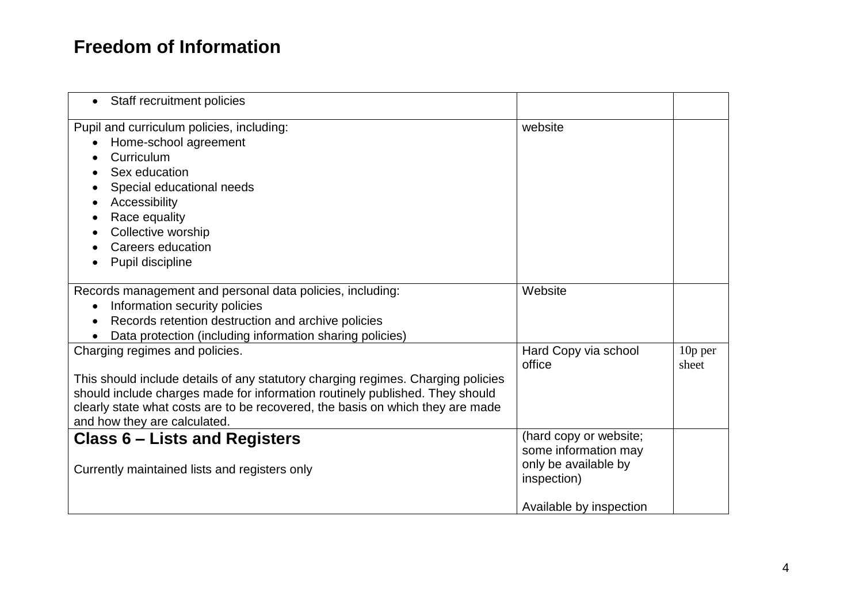| Staff recruitment policies<br>$\bullet$                                                                                                                                                                                                                                                                              |                                                                                                                  |                    |
|----------------------------------------------------------------------------------------------------------------------------------------------------------------------------------------------------------------------------------------------------------------------------------------------------------------------|------------------------------------------------------------------------------------------------------------------|--------------------|
| Pupil and curriculum policies, including:<br>Home-school agreement<br>Curriculum<br>Sex education<br>Special educational needs<br>Accessibility<br>Race equality<br>Collective worship<br>Careers education<br>Pupil discipline                                                                                      | website                                                                                                          |                    |
| Records management and personal data policies, including:<br>Information security policies<br>Records retention destruction and archive policies<br>Data protection (including information sharing policies)                                                                                                         | Website                                                                                                          |                    |
| Charging regimes and policies.<br>This should include details of any statutory charging regimes. Charging policies<br>should include charges made for information routinely published. They should<br>clearly state what costs are to be recovered, the basis on which they are made<br>and how they are calculated. | Hard Copy via school<br>office                                                                                   | $10p$ per<br>sheet |
| <b>Class 6 - Lists and Registers</b><br>Currently maintained lists and registers only                                                                                                                                                                                                                                | (hard copy or website;<br>some information may<br>only be available by<br>inspection)<br>Available by inspection |                    |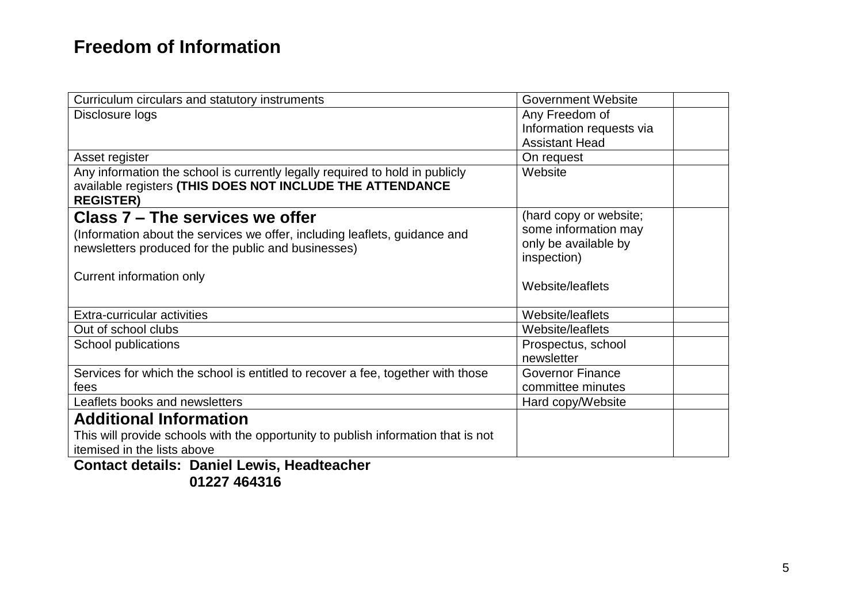| Curriculum circulars and statutory instruments                                    | <b>Government Website</b> |
|-----------------------------------------------------------------------------------|---------------------------|
| Disclosure logs                                                                   | Any Freedom of            |
|                                                                                   | Information requests via  |
|                                                                                   | <b>Assistant Head</b>     |
| Asset register                                                                    | On request                |
| Any information the school is currently legally required to hold in publicly      | Website                   |
| available registers (THIS DOES NOT INCLUDE THE ATTENDANCE<br><b>REGISTER)</b>     |                           |
| Class 7 – The services we offer                                                   | (hard copy or website;    |
| (Information about the services we offer, including leaflets, guidance and        | some information may      |
| newsletters produced for the public and businesses)                               | only be available by      |
|                                                                                   | inspection)               |
| Current information only                                                          |                           |
|                                                                                   | Website/leaflets          |
| Extra-curricular activities                                                       | Website/leaflets          |
| Out of school clubs                                                               | Website/leaflets          |
| School publications                                                               | Prospectus, school        |
|                                                                                   | newsletter                |
| Services for which the school is entitled to recover a fee, together with those   | <b>Governor Finance</b>   |
| fees                                                                              | committee minutes         |
| Leaflets books and newsletters                                                    | Hard copy/Website         |
| <b>Additional Information</b>                                                     |                           |
| This will provide schools with the opportunity to publish information that is not |                           |
| itemised in the lists above                                                       |                           |
|                                                                                   |                           |

**Contact details: Daniel Lewis, Headteacher 01227 464316**